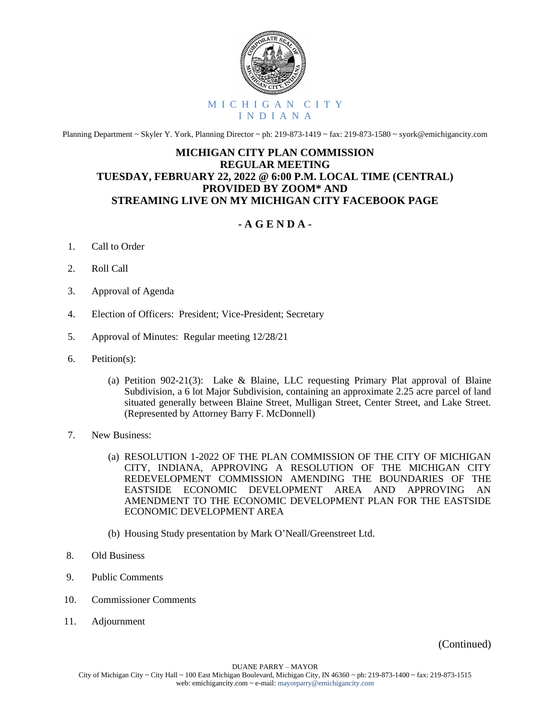

Planning Department ~ Skyler Y. York, Planning Director ~ ph: 219-873-1419 ~ fax: 219-873-1580 ~ syork@emichigancity.com

## **MICHIGAN CITY PLAN COMMISSION REGULAR MEETING TUESDAY, FEBRUARY 22, 2022 @ 6:00 P.M. LOCAL TIME (CENTRAL) PROVIDED BY ZOOM\* AND STREAMING LIVE ON MY MICHIGAN CITY FACEBOOK PAGE**

## **- A G E N D A -**

- 1. Call to Order
- 2. Roll Call
- 3. Approval of Agenda
- 4. Election of Officers: President; Vice-President; Secretary
- 5. Approval of Minutes: Regular meeting 12/28/21
- 6. Petition(s):
	- (a) Petition 902-21(3): Lake & Blaine, LLC requesting Primary Plat approval of Blaine Subdivision, a 6 lot Major Subdivision, containing an approximate 2.25 acre parcel of land situated generally between Blaine Street, Mulligan Street, Center Street, and Lake Street. (Represented by Attorney Barry F. McDonnell)
- 7. New Business:
	- (a) RESOLUTION 1-2022 OF THE PLAN COMMISSION OF THE CITY OF MICHIGAN CITY, INDIANA, APPROVING A RESOLUTION OF THE MICHIGAN CITY REDEVELOPMENT COMMISSION AMENDING THE BOUNDARIES OF THE EASTSIDE ECONOMIC DEVELOPMENT AREA AND APPROVING AN AMENDMENT TO THE ECONOMIC DEVELOPMENT PLAN FOR THE EASTSIDE ECONOMIC DEVELOPMENT AREA
	- (b) Housing Study presentation by Mark O'Neall/Greenstreet Ltd.
- 8. Old Business
- 9. Public Comments
- 10. Commissioner Comments
- 11. Adjournment

(Continued)